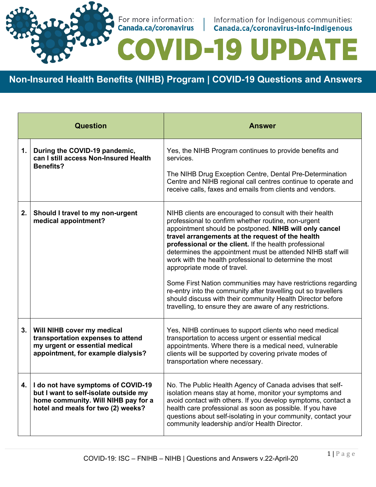

For more information: | Information for Indigenous communities:<br>
Canada.ca/coronavirus | Canada.ca/coronavirus-info-indigenous

**ID-19 UPDATE** 

**Non-Insured Health Benefits (NIHB) Program | COVID-19 Questions and Answers**

|      | <b>Question</b>                                                                                                                                          | <b>Answer</b>                                                                                                                                                                                                                                                                                                                                                                                                                                                                                                                                                                                                                                                                                                  |
|------|----------------------------------------------------------------------------------------------------------------------------------------------------------|----------------------------------------------------------------------------------------------------------------------------------------------------------------------------------------------------------------------------------------------------------------------------------------------------------------------------------------------------------------------------------------------------------------------------------------------------------------------------------------------------------------------------------------------------------------------------------------------------------------------------------------------------------------------------------------------------------------|
| 1.   | During the COVID-19 pandemic,<br>can I still access Non-Insured Health<br><b>Benefits?</b>                                                               | Yes, the NIHB Program continues to provide benefits and<br>services.<br>The NIHB Drug Exception Centre, Dental Pre-Determination<br>Centre and NIHB regional call centres continue to operate and<br>receive calls, faxes and emails from clients and vendors.                                                                                                                                                                                                                                                                                                                                                                                                                                                 |
| 2.   | Should I travel to my non-urgent<br>medical appointment?                                                                                                 | NIHB clients are encouraged to consult with their health<br>professional to confirm whether routine, non-urgent<br>appointment should be postponed. NIHB will only cancel<br>travel arrangements at the request of the health<br>professional or the client. If the health professional<br>determines the appointment must be attended NIHB staff will<br>work with the health professional to determine the most<br>appropriate mode of travel.<br>Some First Nation communities may have restrictions regarding<br>re-entry into the community after travelling out so travellers<br>should discuss with their community Health Director before<br>travelling, to ensure they are aware of any restrictions. |
| 3.   | Will NIHB cover my medical<br>transportation expenses to attend<br>my urgent or essential medical<br>appointment, for example dialysis?                  | Yes, NIHB continues to support clients who need medical<br>transportation to access urgent or essential medical<br>appointments. Where there is a medical need, vulnerable<br>clients will be supported by covering private modes of<br>transportation where necessary.                                                                                                                                                                                                                                                                                                                                                                                                                                        |
| 4. I | I do not have symptoms of COVID-19<br>but I want to self-isolate outside my<br>home community. Will NIHB pay for a<br>hotel and meals for two (2) weeks? | No. The Public Health Agency of Canada advises that self-<br>isolation means stay at home, monitor your symptoms and<br>avoid contact with others. If you develop symptoms, contact a<br>health care professional as soon as possible. If you have<br>questions about self-isolating in your community, contact your<br>community leadership and/or Health Director.                                                                                                                                                                                                                                                                                                                                           |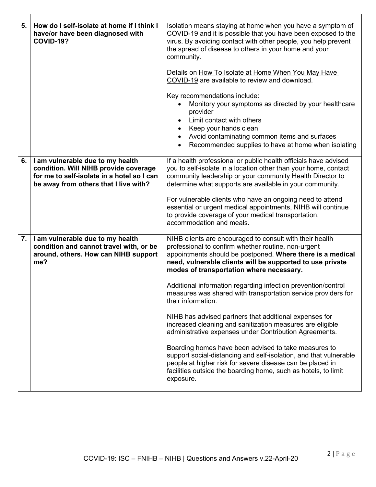| 5. | How do I self-isolate at home if I think I<br>have/or have been diagnosed with<br><b>COVID-19?</b>                                                               | Isolation means staying at home when you have a symptom of<br>COVID-19 and it is possible that you have been exposed to the<br>virus. By avoiding contact with other people, you help prevent<br>the spread of disease to others in your home and your<br>community.                                                                                                                                                                                                         |
|----|------------------------------------------------------------------------------------------------------------------------------------------------------------------|------------------------------------------------------------------------------------------------------------------------------------------------------------------------------------------------------------------------------------------------------------------------------------------------------------------------------------------------------------------------------------------------------------------------------------------------------------------------------|
|    |                                                                                                                                                                  | Details on How To Isolate at Home When You May Have<br>COVID-19 are available to review and download.                                                                                                                                                                                                                                                                                                                                                                        |
|    |                                                                                                                                                                  | Key recommendations include:<br>Monitory your symptoms as directed by your healthcare<br>provider<br>Limit contact with others<br>Keep your hands clean<br>٠<br>Avoid contaminating common items and surfaces<br>$\bullet$<br>Recommended supplies to have at home when isolating                                                                                                                                                                                            |
| 6. | I am vulnerable due to my health<br>condition. Will NIHB provide coverage<br>for me to self-isolate in a hotel so I can<br>be away from others that I live with? | If a health professional or public health officials have advised<br>you to self-isolate in a location other than your home, contact<br>community leadership or your community Health Director to<br>determine what supports are available in your community.<br>For vulnerable clients who have an ongoing need to attend<br>essential or urgent medical appointments, NIHB will continue<br>to provide coverage of your medical transportation,<br>accommodation and meals. |
| 7. | I am vulnerable due to my health<br>condition and cannot travel with, or be<br>around, others. How can NIHB support<br>me?                                       | NIHB clients are encouraged to consult with their health<br>professional to confirm whether routine, non-urgent<br>appointments should be postponed. Where there is a medical<br>need, vulnerable clients will be supported to use private<br>modes of transportation where necessary.                                                                                                                                                                                       |
|    |                                                                                                                                                                  | Additional information regarding infection prevention/control<br>measures was shared with transportation service providers for<br>their information.                                                                                                                                                                                                                                                                                                                         |
|    |                                                                                                                                                                  | NIHB has advised partners that additional expenses for<br>increased cleaning and sanitization measures are eligible<br>administrative expenses under Contribution Agreements.                                                                                                                                                                                                                                                                                                |
|    |                                                                                                                                                                  | Boarding homes have been advised to take measures to<br>support social-distancing and self-isolation, and that vulnerable<br>people at higher risk for severe disease can be placed in<br>facilities outside the boarding home, such as hotels, to limit<br>exposure.                                                                                                                                                                                                        |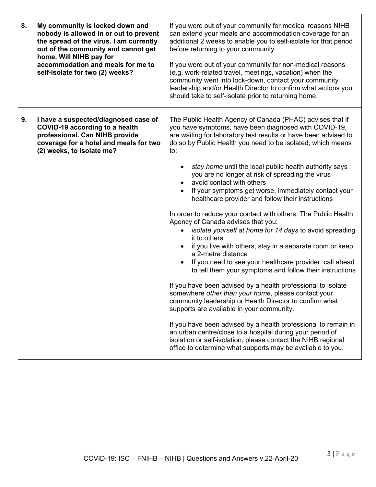| 8. | My community is locked down and<br>nobody is allowed in or out to prevent<br>the spread of the virus. I am currently<br>out of the community and cannot get<br>home. Will NIHB pay for<br>accommodation and meals for me to<br>self-isolate for two (2) weeks? | If you were out of your community for medical reasons NIHB<br>can extend your meals and accommodation coverage for an<br>additional 2 weeks to enable you to self-isolate for that period<br>before returning to your community.<br>If you were out of your community for non-medical reasons<br>(e.g. work-related travel, meetings, vacation) when the<br>community went into lock-down, contact your community<br>leadership and/or Health Director to confirm what actions you<br>should take to self-isolate prior to returning home.                                                                                                                                                                                                                                                                                                                                                                                                                                                                                                                                                                                                                                                                                                                                                                                                                                                                   |
|----|----------------------------------------------------------------------------------------------------------------------------------------------------------------------------------------------------------------------------------------------------------------|--------------------------------------------------------------------------------------------------------------------------------------------------------------------------------------------------------------------------------------------------------------------------------------------------------------------------------------------------------------------------------------------------------------------------------------------------------------------------------------------------------------------------------------------------------------------------------------------------------------------------------------------------------------------------------------------------------------------------------------------------------------------------------------------------------------------------------------------------------------------------------------------------------------------------------------------------------------------------------------------------------------------------------------------------------------------------------------------------------------------------------------------------------------------------------------------------------------------------------------------------------------------------------------------------------------------------------------------------------------------------------------------------------------|
| 9. | I have a suspected/diagnosed case of<br><b>COVID-19 according to a health</b><br>professional. Can NIHB provide<br>coverage for a hotel and meals for two<br>(2) weeks, to isolate me?                                                                         | The Public Health Agency of Canada (PHAC) advises that if<br>you have symptoms, have been diagnosed with COVID-19,<br>are waiting for laboratory test results or have been advised to<br>do so by Public Health you need to be isolated, which means<br>to:<br>stay home until the local public health authority says<br>you are no longer at risk of spreading the virus<br>avoid contact with others<br>If your symptoms get worse, immediately contact your<br>healthcare provider and follow their instructions<br>In order to reduce your contact with others, The Public Health<br>Agency of Canada advises that you:<br>isolate yourself at home for 14 days to avoid spreading<br>it to others<br>if you live with others, stay in a separate room or keep<br>a 2-metre distance<br>If you need to see your healthcare provider, call ahead<br>to tell them your symptoms and follow their instructions<br>If you have been advised by a health professional to isolate<br>somewhere other than your home, please contact your<br>community leadership or Health Director to confirm what<br>supports are available in your community.<br>If you have been advised by a health professional to remain in<br>an urban centre/close to a hospital during your period of<br>isolation or self-isolation, please contact the NIHB regional<br>office to determine what supports may be available to you. |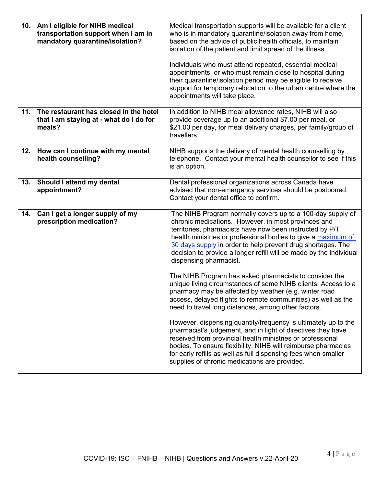| 10. | Am I eligible for NIHB medical<br>transportation support when I am in<br>mandatory quarantine/isolation? | Medical transportation supports will be available for a client<br>who is in mandatory quarantine/isolation away from home,<br>based on the advice of public health officials, to maintain<br>isolation of the patient and limit spread of the illness.<br>Individuals who must attend repeated, essential medical<br>appointments, or who must remain close to hospital during<br>their quarantine/isolation period may be eligible to receive<br>support for temporary relocation to the urban centre where the<br>appointments will take place. |
|-----|----------------------------------------------------------------------------------------------------------|---------------------------------------------------------------------------------------------------------------------------------------------------------------------------------------------------------------------------------------------------------------------------------------------------------------------------------------------------------------------------------------------------------------------------------------------------------------------------------------------------------------------------------------------------|
| 11. | The restaurant has closed in the hotel<br>that I am staying at - what do I do for<br>meals?              | In addition to NIHB meal allowance rates, NIHB will also<br>provide coverage up to an additional \$7.00 per meal, or<br>\$21.00 per day, for meal delivery charges, per family/group of<br>travellers.                                                                                                                                                                                                                                                                                                                                            |
| 12. | How can I continue with my mental<br>health counselling?                                                 | NIHB supports the delivery of mental health counselling by<br>telephone. Contact your mental health counsellor to see if this<br>is an option.                                                                                                                                                                                                                                                                                                                                                                                                    |
| 13. | Should I attend my dental<br>appointment?                                                                | Dental professional organizations across Canada have<br>advised that non-emergency services should be postponed.<br>Contact your dental office to confirm.                                                                                                                                                                                                                                                                                                                                                                                        |
| 14. | Can I get a longer supply of my<br>prescription medication?                                              | The NIHB Program normally covers up to a 100-day supply of<br>chronic medications. However, in most provinces and<br>territories, pharmacists have now been instructed by P/T<br>health ministries or professional bodies to give a maximum of<br>30 days supply in order to help prevent drug shortages. The<br>decision to provide a longer refill will be made by the individual<br>dispensing pharmacist.                                                                                                                                     |
|     |                                                                                                          | The NIHB Program has asked pharmacists to consider the<br>unique living circumstances of some NIHB clients. Access to a<br>pharmacy may be affected by weather (e.g. winter road<br>access, delayed flights to remote communities) as well as the<br>need to travel long distances, among other factors.                                                                                                                                                                                                                                          |
|     |                                                                                                          | However, dispensing quantity/frequency is ultimately up to the<br>pharmacist's judgement, and in light of directives they have<br>received from provincial health ministries or professional<br>bodies. To ensure flexibility, NIHB will reimburse pharmacies<br>for early refills as well as full dispensing fees when smaller<br>supplies of chronic medications are provided.                                                                                                                                                                  |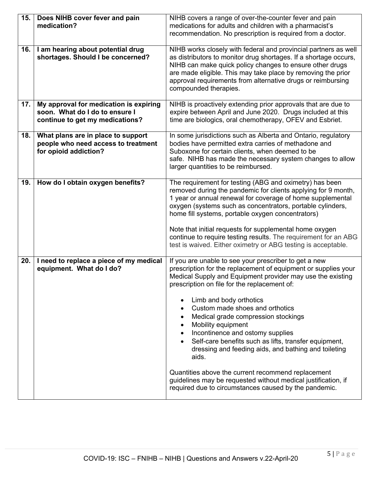| 15. | Does NIHB cover fever and pain<br>medication?                                                               | NIHB covers a range of over-the-counter fever and pain<br>medications for adults and children with a pharmacist's<br>recommendation. No prescription is required from a doctor.                                                                                                                                                                                                                                                                                                                                                                                                                                                                                                                                |
|-----|-------------------------------------------------------------------------------------------------------------|----------------------------------------------------------------------------------------------------------------------------------------------------------------------------------------------------------------------------------------------------------------------------------------------------------------------------------------------------------------------------------------------------------------------------------------------------------------------------------------------------------------------------------------------------------------------------------------------------------------------------------------------------------------------------------------------------------------|
| 16. | I am hearing about potential drug<br>shortages. Should I be concerned?                                      | NIHB works closely with federal and provincial partners as well<br>as distributors to monitor drug shortages. If a shortage occurs,<br>NIHB can make quick policy changes to ensure other drugs<br>are made eligible. This may take place by removing the prior<br>approval requirements from alternative drugs or reimbursing<br>compounded therapies.                                                                                                                                                                                                                                                                                                                                                        |
| 17. | My approval for medication is expiring<br>soon. What do I do to ensure I<br>continue to get my medications? | NIHB is proactively extending prior approvals that are due to<br>expire between April and June 2020. Drugs included at this<br>time are biologics, oral chemotherapy, OFEV and Esbriet.                                                                                                                                                                                                                                                                                                                                                                                                                                                                                                                        |
| 18. | What plans are in place to support<br>people who need access to treatment<br>for opioid addiction?          | In some jurisdictions such as Alberta and Ontario, regulatory<br>bodies have permitted extra carries of methadone and<br>Suboxone for certain clients, when deemed to be<br>safe. NIHB has made the necessary system changes to allow<br>larger quantities to be reimbursed.                                                                                                                                                                                                                                                                                                                                                                                                                                   |
| 19. | How do I obtain oxygen benefits?                                                                            | The requirement for testing (ABG and oximetry) has been<br>removed during the pandemic for clients applying for 9 month,<br>1 year or annual renewal for coverage of home supplemental<br>oxygen (systems such as concentrators, portable cylinders,<br>home fill systems, portable oxygen concentrators)<br>Note that initial requests for supplemental home oxygen<br>continue to require testing results. The requirement for an ABG<br>test is waived. Either oximetry or ABG testing is acceptable.                                                                                                                                                                                                       |
| 20. | I need to replace a piece of my medical<br>equipment. What do I do?                                         | If you are unable to see your prescriber to get a new<br>prescription for the replacement of equipment or supplies your<br>Medical Supply and Equipment provider may use the existing<br>prescription on file for the replacement of:<br>Limb and body orthotics<br>Custom made shoes and orthotics<br>Medical grade compression stockings<br>Mobility equipment<br>Incontinence and ostomy supplies<br>Self-care benefits such as lifts, transfer equipment,<br>dressing and feeding aids, and bathing and toileting<br>aids.<br>Quantities above the current recommend replacement<br>guidelines may be requested without medical justification, if<br>required due to circumstances caused by the pandemic. |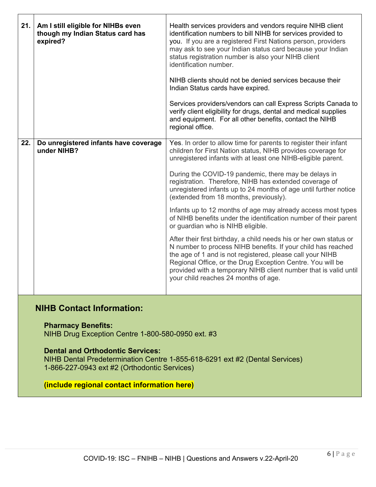| 21. | Am I still eligible for NIHBs even<br>though my Indian Status card has<br>expired? | Health services providers and vendors require NIHB client<br>identification numbers to bill NIHB for services provided to<br>you. If you are a registered First Nations person, providers<br>may ask to see your Indian status card because your Indian<br>status registration number is also your NIHB client<br>identification number.<br>NIHB clients should not be denied services because their<br>Indian Status cards have expired.<br>Services providers/vendors can call Express Scripts Canada to<br>verify client eligibility for drugs, dental and medical supplies<br>and equipment. For all other benefits, contact the NIHB<br>regional office.                                                                                                                                                                                                                                                                                                                          |
|-----|------------------------------------------------------------------------------------|----------------------------------------------------------------------------------------------------------------------------------------------------------------------------------------------------------------------------------------------------------------------------------------------------------------------------------------------------------------------------------------------------------------------------------------------------------------------------------------------------------------------------------------------------------------------------------------------------------------------------------------------------------------------------------------------------------------------------------------------------------------------------------------------------------------------------------------------------------------------------------------------------------------------------------------------------------------------------------------|
| 22. | Do unregistered infants have coverage<br>under NIHB?                               | Yes. In order to allow time for parents to register their infant<br>children for First Nation status, NIHB provides coverage for<br>unregistered infants with at least one NIHB-eligible parent.<br>During the COVID-19 pandemic, there may be delays in<br>registration. Therefore, NIHB has extended coverage of<br>unregistered infants up to 24 months of age until further notice<br>(extended from 18 months, previously).<br>Infants up to 12 months of age may already access most types<br>of NIHB benefits under the identification number of their parent<br>or guardian who is NIHB eligible.<br>After their first birthday, a child needs his or her own status or<br>N number to process NIHB benefits. If your child has reached<br>the age of 1 and is not registered, please call your NIHB<br>Regional Office, or the Drug Exception Centre. You will be<br>provided with a temporary NIHB client number that is valid until<br>your child reaches 24 months of age. |
|     |                                                                                    |                                                                                                                                                                                                                                                                                                                                                                                                                                                                                                                                                                                                                                                                                                                                                                                                                                                                                                                                                                                        |

## **NIHB Contact Information:**

**Pharmacy Benefits:**

NIHB Drug Exception Centre 1-800-580-0950 ext. #3

## **Dental and Orthodontic Services:**

NIHB Dental Predetermination Centre 1-855-618-6291 ext #2 (Dental Services) 1-866-227-0943 ext #2 (Orthodontic Services)

## **(include regional contact information here)**